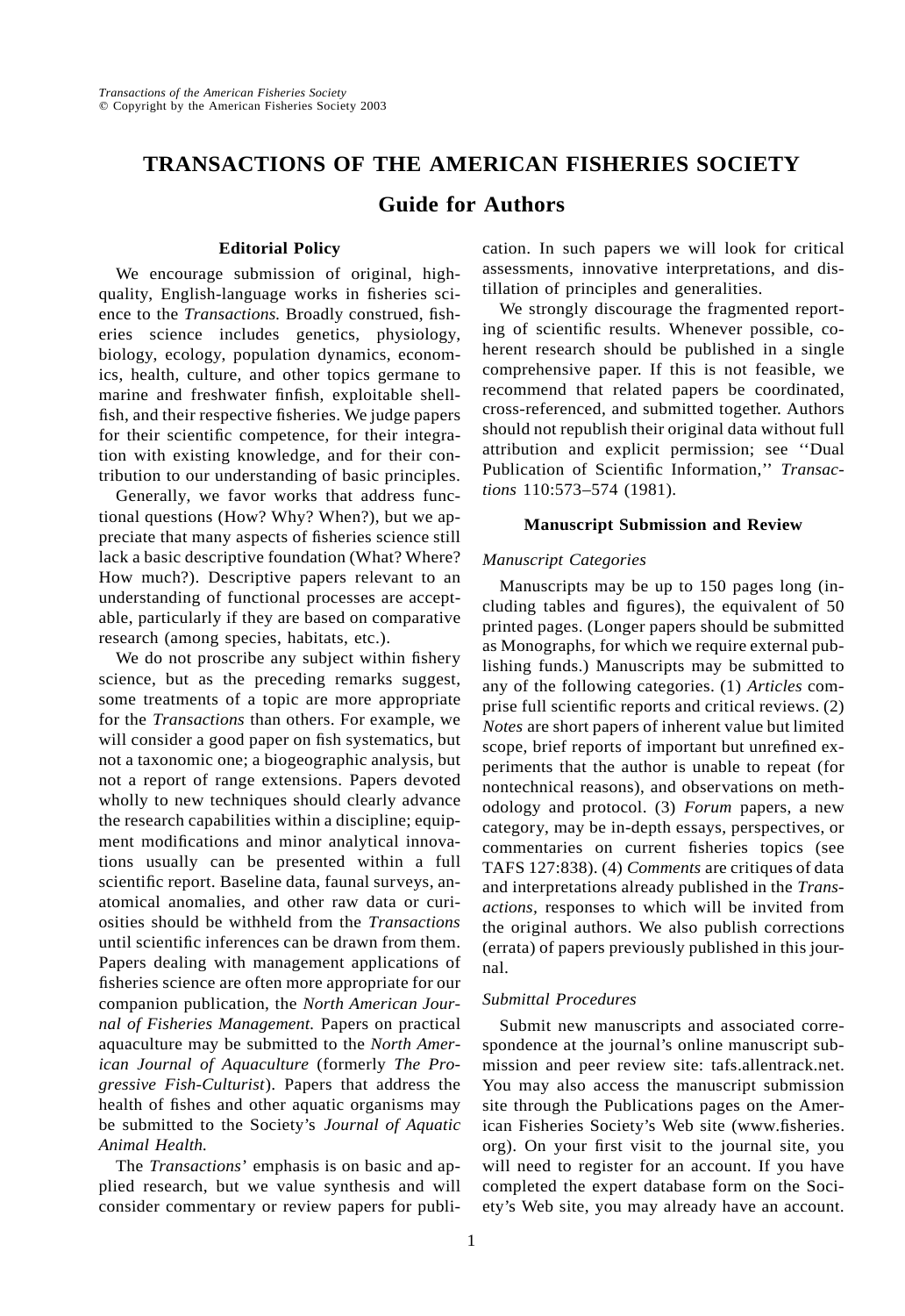## **TRANSACTIONS OF THE AMERICAN FISHERIES SOCIETY**

## **Guide for Authors**

## **Editorial Policy**

We encourage submission of original, highquality, English-language works in fisheries science to the *Transactions.* Broadly construed, fisheries science includes genetics, physiology, biology, ecology, population dynamics, economics, health, culture, and other topics germane to marine and freshwater finfish, exploitable shellfish, and their respective fisheries. We judge papers for their scientific competence, for their integration with existing knowledge, and for their contribution to our understanding of basic principles.

Generally, we favor works that address functional questions (How? Why? When?), but we appreciate that many aspects of fisheries science still lack a basic descriptive foundation (What? Where? How much?). Descriptive papers relevant to an understanding of functional processes are acceptable, particularly if they are based on comparative research (among species, habitats, etc.).

We do not proscribe any subject within fishery science, but as the preceding remarks suggest, some treatments of a topic are more appropriate for the *Transactions* than others. For example, we will consider a good paper on fish systematics, but not a taxonomic one; a biogeographic analysis, but not a report of range extensions. Papers devoted wholly to new techniques should clearly advance the research capabilities within a discipline; equipment modifications and minor analytical innovations usually can be presented within a full scientific report. Baseline data, faunal surveys, anatomical anomalies, and other raw data or curiosities should be withheld from the *Transactions* until scientific inferences can be drawn from them. Papers dealing with management applications of fisheries science are often more appropriate for our companion publication, the *North American Journal of Fisheries Management.* Papers on practical aquaculture may be submitted to the *North American Journal of Aquaculture* (formerly *The Progressive Fish-Culturist*). Papers that address the health of fishes and other aquatic organisms may be submitted to the Society's *Journal of Aquatic Animal Health.*

The *Transactions*' emphasis is on basic and applied research, but we value synthesis and will consider commentary or review papers for publication. In such papers we will look for critical assessments, innovative interpretations, and distillation of principles and generalities.

We strongly discourage the fragmented reporting of scientific results. Whenever possible, coherent research should be published in a single comprehensive paper. If this is not feasible, we recommend that related papers be coordinated, cross-referenced, and submitted together. Authors should not republish their original data without full attribution and explicit permission; see ''Dual Publication of Scientific Information,'' *Transactions* 110:573–574 (1981).

#### **Manuscript Submission and Review**

#### *Manuscript Categories*

Manuscripts may be up to 150 pages long (including tables and figures), the equivalent of 50 printed pages. (Longer papers should be submitted as Monographs, for which we require external publishing funds.) Manuscripts may be submitted to any of the following categories. (1) *Articles* comprise full scientific reports and critical reviews. (2) *Notes* are short papers of inherent value but limited scope, brief reports of important but unrefined experiments that the author is unable to repeat (for nontechnical reasons), and observations on methodology and protocol. (3) *Forum* papers, a new category, may be in-depth essays, perspectives, or commentaries on current fisheries topics (see TAFS 127:838). (4) *Comments* are critiques of data and interpretations already published in the *Transactions,* responses to which will be invited from the original authors. We also publish corrections (errata) of papers previously published in this journal.

### *Submittal Procedures*

Submit new manuscripts and associated correspondence at the journal's online manuscript submission and peer review site: tafs.allentrack.net. You may also access the manuscript submission site through the Publications pages on the American Fisheries Society's Web site (www.fisheries. org). On your first visit to the journal site, you will need to register for an account. If you have completed the expert database form on the Society's Web site, you may already have an account.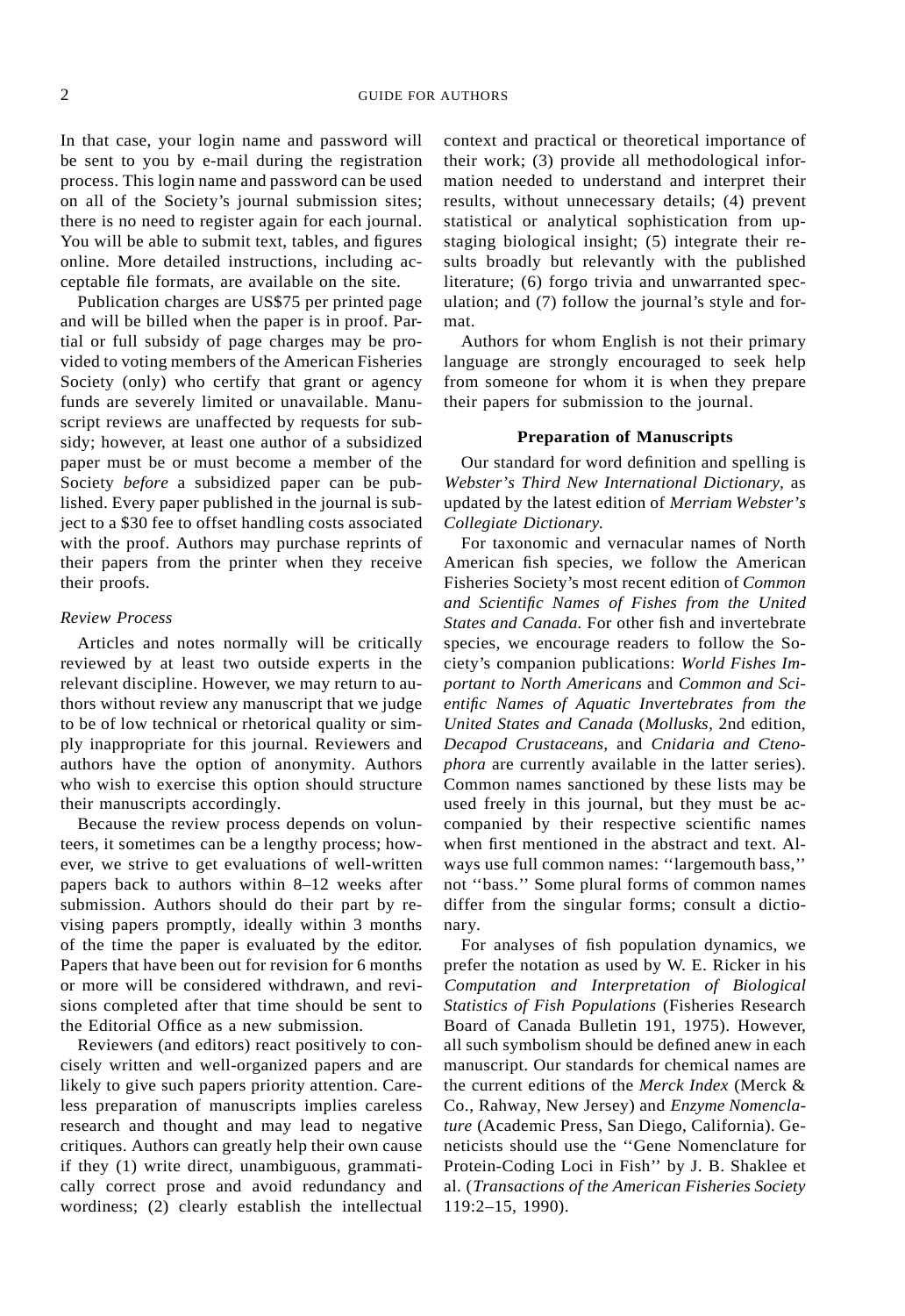In that case, your login name and password will be sent to you by e-mail during the registration process. This login name and password can be used on all of the Society's journal submission sites; there is no need to register again for each journal. You will be able to submit text, tables, and figures online. More detailed instructions, including acceptable file formats, are available on the site.

Publication charges are US\$75 per printed page and will be billed when the paper is in proof. Partial or full subsidy of page charges may be provided to voting members of the American Fisheries Society (only) who certify that grant or agency funds are severely limited or unavailable. Manuscript reviews are unaffected by requests for subsidy; however, at least one author of a subsidized paper must be or must become a member of the Society *before* a subsidized paper can be published. Every paper published in the journal is subject to a \$30 fee to offset handling costs associated with the proof. Authors may purchase reprints of their papers from the printer when they receive their proofs.

#### *Review Process*

Articles and notes normally will be critically reviewed by at least two outside experts in the relevant discipline. However, we may return to authors without review any manuscript that we judge to be of low technical or rhetorical quality or simply inappropriate for this journal. Reviewers and authors have the option of anonymity. Authors who wish to exercise this option should structure their manuscripts accordingly.

Because the review process depends on volunteers, it sometimes can be a lengthy process; however, we strive to get evaluations of well-written papers back to authors within 8–12 weeks after submission. Authors should do their part by revising papers promptly, ideally within 3 months of the time the paper is evaluated by the editor. Papers that have been out for revision for 6 months or more will be considered withdrawn, and revisions completed after that time should be sent to the Editorial Office as a new submission.

Reviewers (and editors) react positively to concisely written and well-organized papers and are likely to give such papers priority attention. Careless preparation of manuscripts implies careless research and thought and may lead to negative critiques. Authors can greatly help their own cause if they (1) write direct, unambiguous, grammatically correct prose and avoid redundancy and wordiness; (2) clearly establish the intellectual context and practical or theoretical importance of their work; (3) provide all methodological information needed to understand and interpret their results, without unnecessary details; (4) prevent statistical or analytical sophistication from upstaging biological insight; (5) integrate their results broadly but relevantly with the published literature; (6) forgo trivia and unwarranted speculation; and (7) follow the journal's style and format.

Authors for whom English is not their primary language are strongly encouraged to seek help from someone for whom it is when they prepare their papers for submission to the journal.

#### **Preparation of Manuscripts**

Our standard for word definition and spelling is *Webster's Third New International Dictionary,* as updated by the latest edition of *Merriam Webster's Collegiate Dictionary.*

For taxonomic and vernacular names of North American fish species, we follow the American Fisheries Society's most recent edition of *Common and Scientific Names of Fishes from the United States and Canada.* For other fish and invertebrate species, we encourage readers to follow the Society's companion publications: *World Fishes Important to North Americans* and *Common and Scientific Names of Aquatic Invertebrates from the United States and Canada* (*Mollusks,* 2nd edition, *Decapod Crustaceans,* and *Cnidaria and Ctenophora* are currently available in the latter series). Common names sanctioned by these lists may be used freely in this journal, but they must be accompanied by their respective scientific names when first mentioned in the abstract and text. Always use full common names: ''largemouth bass,'' not ''bass.'' Some plural forms of common names differ from the singular forms; consult a dictionary.

For analyses of fish population dynamics, we prefer the notation as used by W. E. Ricker in his *Computation and Interpretation of Biological Statistics of Fish Populations* (Fisheries Research Board of Canada Bulletin 191, 1975). However, all such symbolism should be defined anew in each manuscript. Our standards for chemical names are the current editions of the *Merck Index* (Merck & Co., Rahway, New Jersey) and *Enzyme Nomenclature* (Academic Press, San Diego, California). Geneticists should use the ''Gene Nomenclature for Protein-Coding Loci in Fish'' by J. B. Shaklee et al. (*Transactions of the American Fisheries Society* 119:2–15, 1990).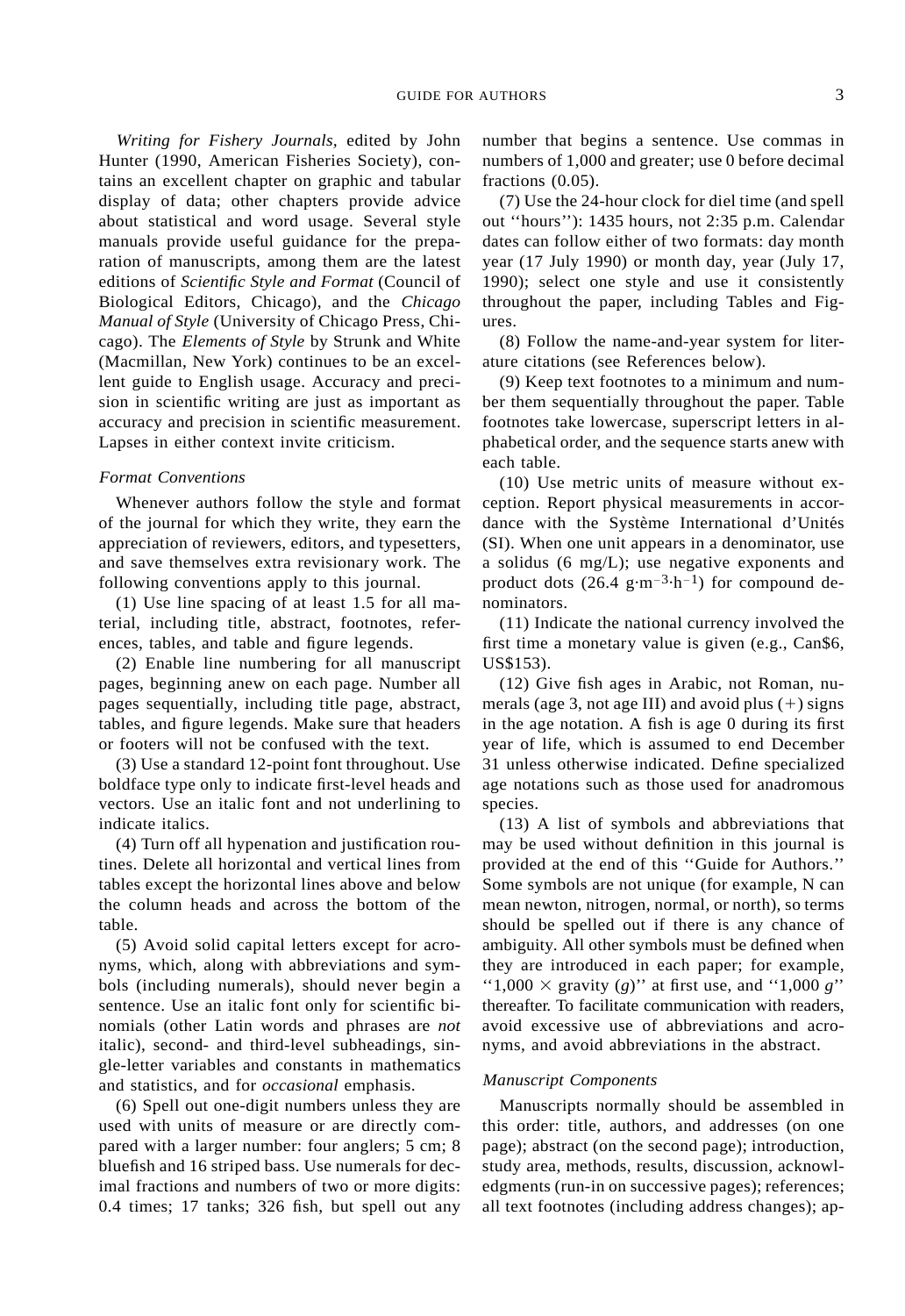*Writing for Fishery Journals,* edited by John Hunter (1990, American Fisheries Society), contains an excellent chapter on graphic and tabular display of data; other chapters provide advice about statistical and word usage. Several style manuals provide useful guidance for the preparation of manuscripts, among them are the latest editions of *Scientific Style and Format* (Council of Biological Editors, Chicago), and the *Chicago Manual of Style* (University of Chicago Press, Chicago). The *Elements of Style* by Strunk and White (Macmillan, New York) continues to be an excellent guide to English usage. Accuracy and precision in scientific writing are just as important as accuracy and precision in scientific measurement. Lapses in either context invite criticism.

#### *Format Conventions*

Whenever authors follow the style and format of the journal for which they write, they earn the appreciation of reviewers, editors, and typesetters, and save themselves extra revisionary work. The following conventions apply to this journal.

(1) Use line spacing of at least 1.5 for all material, including title, abstract, footnotes, references, tables, and table and figure legends.

(2) Enable line numbering for all manuscript pages, beginning anew on each page. Number all pages sequentially, including title page, abstract, tables, and figure legends. Make sure that headers or footers will not be confused with the text.

(3) Use a standard 12-point font throughout. Use boldface type only to indicate first-level heads and vectors. Use an italic font and not underlining to indicate italics.

(4) Turn off all hypenation and justification routines. Delete all horizontal and vertical lines from tables except the horizontal lines above and below the column heads and across the bottom of the table.

(5) Avoid solid capital letters except for acronyms, which, along with abbreviations and symbols (including numerals), should never begin a sentence. Use an italic font only for scientific binomials (other Latin words and phrases are *not* italic), second- and third-level subheadings, single-letter variables and constants in mathematics and statistics, and for *occasional* emphasis.

(6) Spell out one-digit numbers unless they are used with units of measure or are directly compared with a larger number: four anglers; 5 cm; 8 bluefish and 16 striped bass. Use numerals for decimal fractions and numbers of two or more digits: 0.4 times; 17 tanks; 326 fish, but spell out any number that begins a sentence. Use commas in numbers of 1,000 and greater; use 0 before decimal fractions (0.05).

(7) Use the 24-hour clock for diel time (and spell out ''hours''): 1435 hours, not 2:35 p.m. Calendar dates can follow either of two formats: day month year (17 July 1990) or month day, year (July 17, 1990); select one style and use it consistently throughout the paper, including Tables and Figures.

(8) Follow the name-and-year system for literature citations (see References below).

(9) Keep text footnotes to a minimum and number them sequentially throughout the paper. Table footnotes take lowercase, superscript letters in alphabetical order, and the sequence starts anew with each table.

(10) Use metric units of measure without exception. Report physical measurements in accordance with the Système International d'Unités (SI). When one unit appears in a denominator, use a solidus (6 mg/L); use negative exponents and product dots  $(26.4 \text{ g} \cdot \text{m}^{-3} \cdot \text{h}^{-1})$  for compound denominators.

(11) Indicate the national currency involved the first time a monetary value is given (e.g., Can\$6, US\$153).

(12) Give fish ages in Arabic, not Roman, numerals (age  $3$ , not age III) and avoid plus  $(+)$  signs in the age notation. A fish is age 0 during its first year of life, which is assumed to end December 31 unless otherwise indicated. Define specialized age notations such as those used for anadromous species.

(13) A list of symbols and abbreviations that may be used without definition in this journal is provided at the end of this ''Guide for Authors.'' Some symbols are not unique (for example, N can mean newton, nitrogen, normal, or north), so terms should be spelled out if there is any chance of ambiguity. All other symbols must be defined when they are introduced in each paper; for example, "1,000  $\times$  gravity (*g*)" at first use, and "1,000 *g*" thereafter. To facilitate communication with readers, avoid excessive use of abbreviations and acronyms, and avoid abbreviations in the abstract.

### *Manuscript Components*

Manuscripts normally should be assembled in this order: title, authors, and addresses (on one page); abstract (on the second page); introduction, study area, methods, results, discussion, acknowledgments (run-in on successive pages); references; all text footnotes (including address changes); ap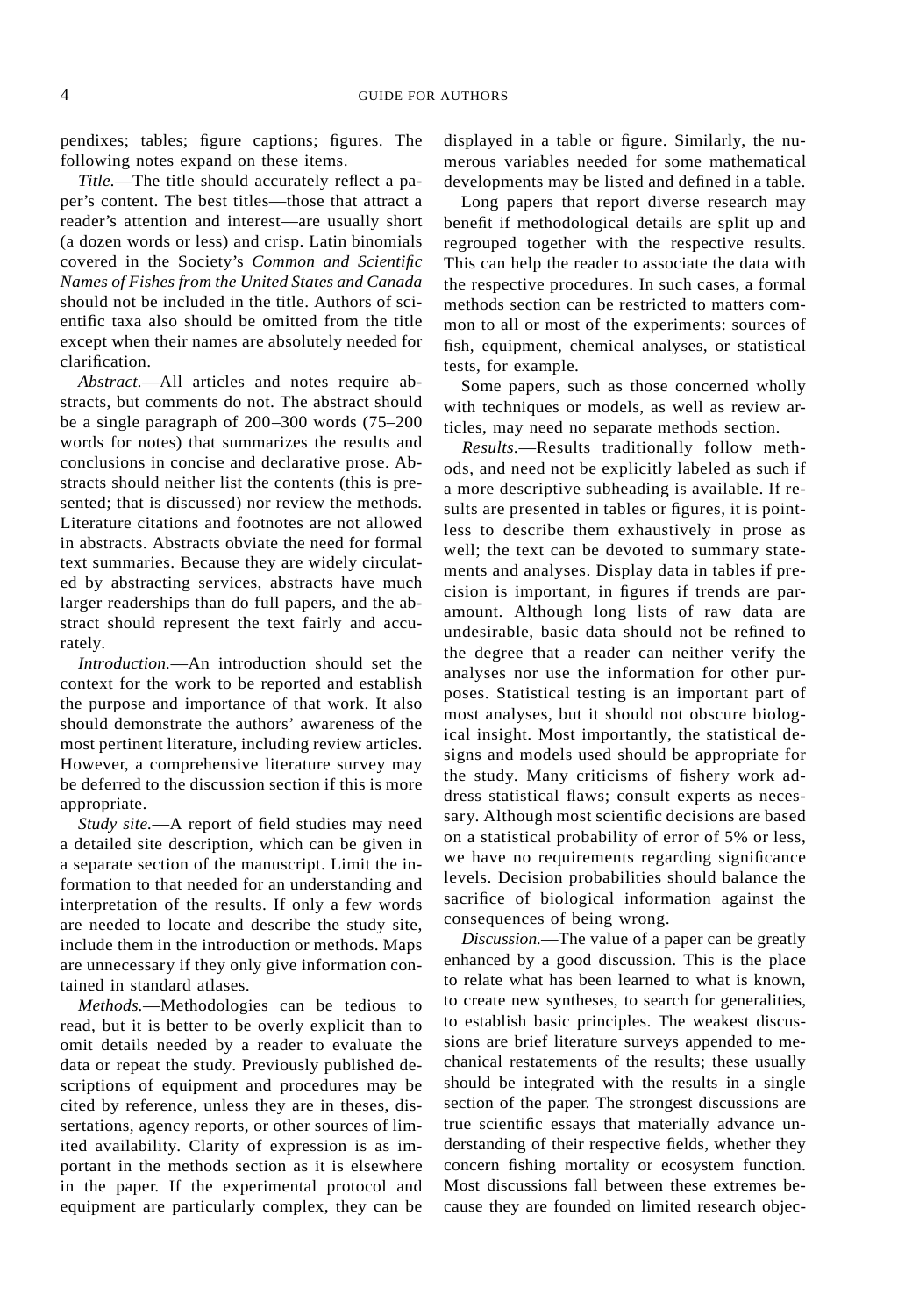pendixes; tables; figure captions; figures. The following notes expand on these items.

*Title.*—The title should accurately reflect a paper's content. The best titles—those that attract a reader's attention and interest—are usually short (a dozen words or less) and crisp. Latin binomials covered in the Society's *Common and Scientific Names of Fishes from the United States and Canada* should not be included in the title. Authors of scientific taxa also should be omitted from the title except when their names are absolutely needed for clarification.

*Abstract.*—All articles and notes require abstracts, but comments do not. The abstract should be a single paragraph of 200–300 words (75–200 words for notes) that summarizes the results and conclusions in concise and declarative prose. Abstracts should neither list the contents (this is presented; that is discussed) nor review the methods. Literature citations and footnotes are not allowed in abstracts. Abstracts obviate the need for formal text summaries. Because they are widely circulated by abstracting services, abstracts have much larger readerships than do full papers, and the abstract should represent the text fairly and accurately.

*Introduction.*—An introduction should set the context for the work to be reported and establish the purpose and importance of that work. It also should demonstrate the authors' awareness of the most pertinent literature, including review articles. However, a comprehensive literature survey may be deferred to the discussion section if this is more appropriate.

*Study site.*—A report of field studies may need a detailed site description, which can be given in a separate section of the manuscript. Limit the information to that needed for an understanding and interpretation of the results. If only a few words are needed to locate and describe the study site, include them in the introduction or methods. Maps are unnecessary if they only give information contained in standard atlases.

*Methods.*—Methodologies can be tedious to read, but it is better to be overly explicit than to omit details needed by a reader to evaluate the data or repeat the study. Previously published descriptions of equipment and procedures may be cited by reference, unless they are in theses, dissertations, agency reports, or other sources of limited availability. Clarity of expression is as important in the methods section as it is elsewhere in the paper. If the experimental protocol and equipment are particularly complex, they can be displayed in a table or figure. Similarly, the numerous variables needed for some mathematical developments may be listed and defined in a table.

Long papers that report diverse research may benefit if methodological details are split up and regrouped together with the respective results. This can help the reader to associate the data with the respective procedures. In such cases, a formal methods section can be restricted to matters common to all or most of the experiments: sources of fish, equipment, chemical analyses, or statistical tests, for example.

Some papers, such as those concerned wholly with techniques or models, as well as review articles, may need no separate methods section.

*Results.*—Results traditionally follow methods, and need not be explicitly labeled as such if a more descriptive subheading is available. If results are presented in tables or figures, it is pointless to describe them exhaustively in prose as well; the text can be devoted to summary statements and analyses. Display data in tables if precision is important, in figures if trends are paramount. Although long lists of raw data are undesirable, basic data should not be refined to the degree that a reader can neither verify the analyses nor use the information for other purposes. Statistical testing is an important part of most analyses, but it should not obscure biological insight. Most importantly, the statistical designs and models used should be appropriate for the study. Many criticisms of fishery work address statistical flaws; consult experts as necessary. Although most scientific decisions are based on a statistical probability of error of 5% or less, we have no requirements regarding significance levels. Decision probabilities should balance the sacrifice of biological information against the consequences of being wrong.

*Discussion.*—The value of a paper can be greatly enhanced by a good discussion. This is the place to relate what has been learned to what is known, to create new syntheses, to search for generalities, to establish basic principles. The weakest discussions are brief literature surveys appended to mechanical restatements of the results; these usually should be integrated with the results in a single section of the paper. The strongest discussions are true scientific essays that materially advance understanding of their respective fields, whether they concern fishing mortality or ecosystem function. Most discussions fall between these extremes because they are founded on limited research objec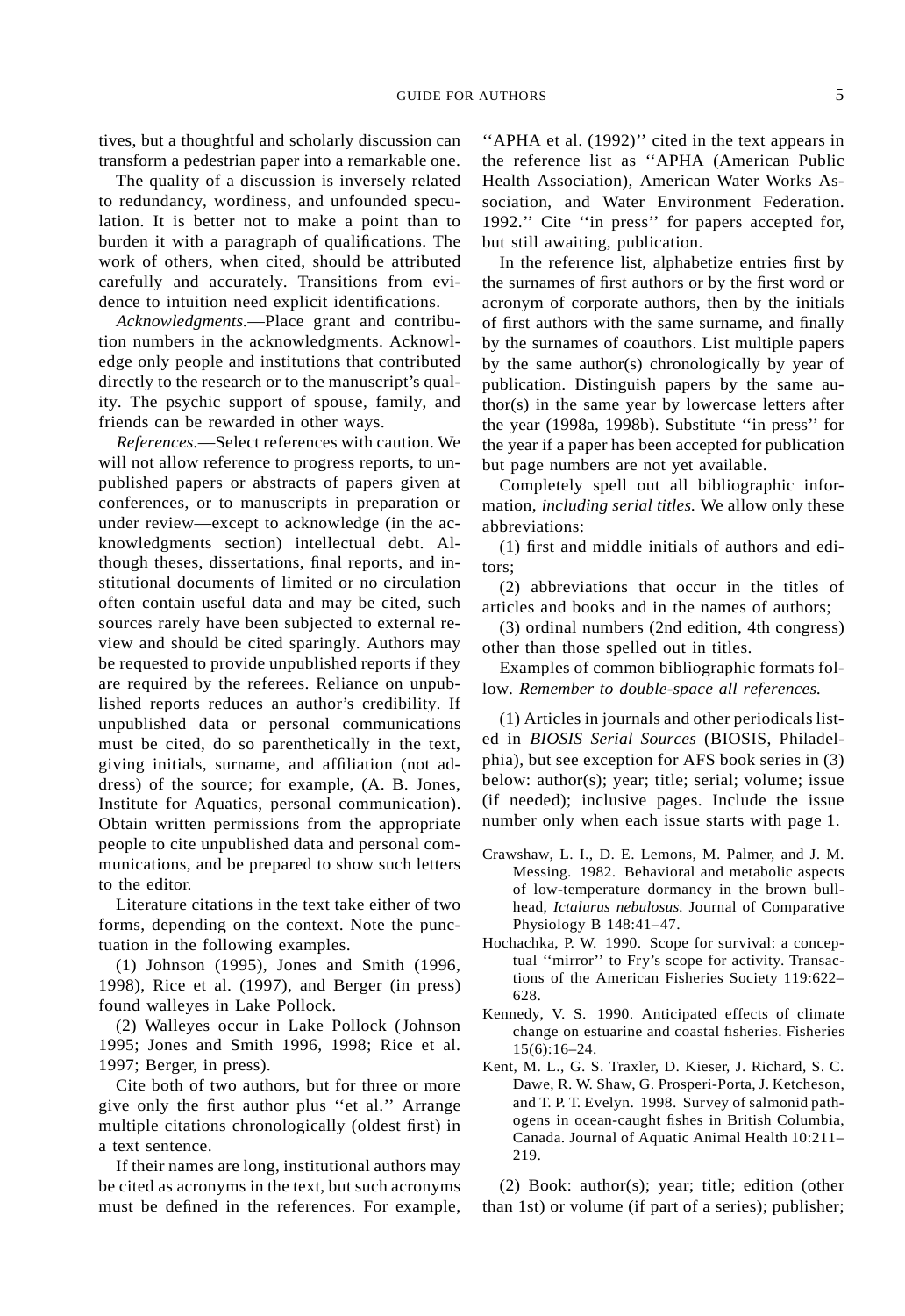tives, but a thoughtful and scholarly discussion can transform a pedestrian paper into a remarkable one.

The quality of a discussion is inversely related to redundancy, wordiness, and unfounded speculation. It is better not to make a point than to burden it with a paragraph of qualifications. The work of others, when cited, should be attributed carefully and accurately. Transitions from evidence to intuition need explicit identifications.

*Acknowledgments.*—Place grant and contribution numbers in the acknowledgments. Acknowledge only people and institutions that contributed directly to the research or to the manuscript's quality. The psychic support of spouse, family, and friends can be rewarded in other ways.

*References.*—Select references with caution. We will not allow reference to progress reports, to unpublished papers or abstracts of papers given at conferences, or to manuscripts in preparation or under review—except to acknowledge (in the acknowledgments section) intellectual debt. Although theses, dissertations, final reports, and institutional documents of limited or no circulation often contain useful data and may be cited, such sources rarely have been subjected to external review and should be cited sparingly. Authors may be requested to provide unpublished reports if they are required by the referees. Reliance on unpublished reports reduces an author's credibility. If unpublished data or personal communications must be cited, do so parenthetically in the text, giving initials, surname, and affiliation (not address) of the source; for example, (A. B. Jones, Institute for Aquatics, personal communication). Obtain written permissions from the appropriate people to cite unpublished data and personal communications, and be prepared to show such letters to the editor.

Literature citations in the text take either of two forms, depending on the context. Note the punctuation in the following examples.

(1) Johnson (1995), Jones and Smith (1996, 1998), Rice et al. (1997), and Berger (in press) found walleyes in Lake Pollock.

(2) Walleyes occur in Lake Pollock (Johnson 1995; Jones and Smith 1996, 1998; Rice et al. 1997; Berger, in press).

Cite both of two authors, but for three or more give only the first author plus ''et al.'' Arrange multiple citations chronologically (oldest first) in a text sentence.

If their names are long, institutional authors may be cited as acronyms in the text, but such acronyms must be defined in the references. For example, "APHA et al. (1992)" cited in the text appears in the reference list as ''APHA (American Public Health Association), American Water Works Association, and Water Environment Federation. 1992.'' Cite ''in press'' for papers accepted for, but still awaiting, publication.

In the reference list, alphabetize entries first by the surnames of first authors or by the first word or acronym of corporate authors, then by the initials of first authors with the same surname, and finally by the surnames of coauthors. List multiple papers by the same author(s) chronologically by year of publication. Distinguish papers by the same author(s) in the same year by lowercase letters after the year (1998a, 1998b). Substitute ''in press'' for the year if a paper has been accepted for publication but page numbers are not yet available.

Completely spell out all bibliographic information, *including serial titles.* We allow only these abbreviations:

(1) first and middle initials of authors and editors;

(2) abbreviations that occur in the titles of articles and books and in the names of authors;

(3) ordinal numbers (2nd edition, 4th congress) other than those spelled out in titles.

Examples of common bibliographic formats follow. *Remember to double-space all references.*

(1) Articles in journals and other periodicals listed in *BIOSIS Serial Sources* (BIOSIS, Philadelphia), but see exception for AFS book series in (3) below: author(s); year; title; serial; volume; issue (if needed); inclusive pages. Include the issue number only when each issue starts with page 1.

- Crawshaw, L. I., D. E. Lemons, M. Palmer, and J. M. Messing. 1982. Behavioral and metabolic aspects of low-temperature dormancy in the brown bullhead, *Ictalurus nebulosus.* Journal of Comparative Physiology B 148:41–47.
- Hochachka, P. W. 1990. Scope for survival: a conceptual ''mirror'' to Fry's scope for activity. Transactions of the American Fisheries Society 119:622– 628.
- Kennedy, V. S. 1990. Anticipated effects of climate change on estuarine and coastal fisheries. Fisheries 15(6):16–24.
- Kent, M. L., G. S. Traxler, D. Kieser, J. Richard, S. C. Dawe, R. W. Shaw, G. Prosperi-Porta, J. Ketcheson, and T. P. T. Evelyn. 1998. Survey of salmonid pathogens in ocean-caught fishes in British Columbia, Canada. Journal of Aquatic Animal Health 10:211– 219.

(2) Book: author(s); year; title; edition (other than 1st) or volume (if part of a series); publisher;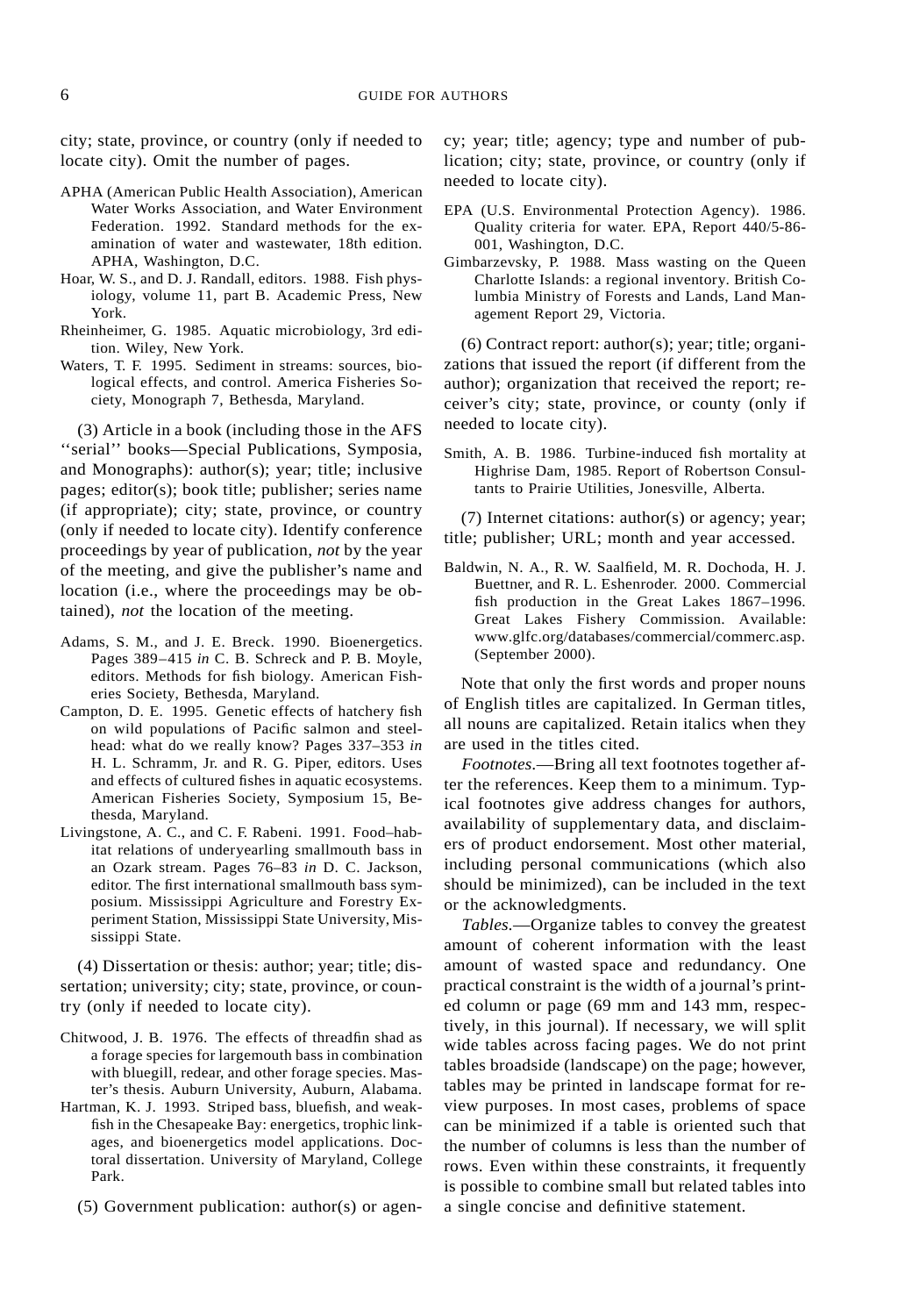city; state, province, or country (only if needed to locate city). Omit the number of pages.

- APHA (American Public Health Association), American Water Works Association, and Water Environment Federation. 1992. Standard methods for the examination of water and wastewater, 18th edition. APHA, Washington, D.C.
- Hoar, W. S., and D. J. Randall, editors. 1988. Fish physiology, volume 11, part B. Academic Press, New York.
- Rheinheimer, G. 1985. Aquatic microbiology, 3rd edition. Wiley, New York.
- Waters, T. F. 1995. Sediment in streams: sources, biological effects, and control. America Fisheries Society, Monograph 7, Bethesda, Maryland.

(3) Article in a book (including those in the AFS ''serial'' books—Special Publications, Symposia, and Monographs): author(s); year; title; inclusive pages; editor(s); book title; publisher; series name (if appropriate); city; state, province, or country (only if needed to locate city). Identify conference proceedings by year of publication, *not* by the year of the meeting, and give the publisher's name and location (i.e., where the proceedings may be obtained), *not* the location of the meeting.

- Adams, S. M., and J. E. Breck. 1990. Bioenergetics. Pages 389–415 *in* C. B. Schreck and P. B. Moyle, editors. Methods for fish biology. American Fisheries Society, Bethesda, Maryland.
- Campton, D. E. 1995. Genetic effects of hatchery fish on wild populations of Pacific salmon and steelhead: what do we really know? Pages 337–353 *in* H. L. Schramm, Jr. and R. G. Piper, editors. Uses and effects of cultured fishes in aquatic ecosystems. American Fisheries Society, Symposium 15, Bethesda, Maryland.
- Livingstone, A. C., and C. F. Rabeni. 1991. Food–habitat relations of underyearling smallmouth bass in an Ozark stream. Pages 76–83 *in* D. C. Jackson, editor. The first international smallmouth bass symposium. Mississippi Agriculture and Forestry Experiment Station, Mississippi State University, Mississippi State.

(4) Dissertation or thesis: author; year; title; dissertation; university; city; state, province, or country (only if needed to locate city).

- Chitwood, J. B. 1976. The effects of threadfin shad as a forage species for largemouth bass in combination with bluegill, redear, and other forage species. Master's thesis. Auburn University, Auburn, Alabama.
- Hartman, K. J. 1993. Striped bass, bluefish, and weakfish in the Chesapeake Bay: energetics, trophic linkages, and bioenergetics model applications. Doctoral dissertation. University of Maryland, College Park.
	- (5) Government publication: author(s) or agen-

cy; year; title; agency; type and number of publication; city; state, province, or country (only if needed to locate city).

- EPA (U.S. Environmental Protection Agency). 1986. Quality criteria for water. EPA, Report 440/5-86- 001, Washington, D.C.
- Gimbarzevsky, P. 1988. Mass wasting on the Queen Charlotte Islands: a regional inventory. British Columbia Ministry of Forests and Lands, Land Management Report 29, Victoria.

(6) Contract report: author(s); year; title; organizations that issued the report (if different from the author); organization that received the report; receiver's city; state, province, or county (only if needed to locate city).

Smith, A. B. 1986. Turbine-induced fish mortality at Highrise Dam, 1985. Report of Robertson Consultants to Prairie Utilities, Jonesville, Alberta.

(7) Internet citations: author(s) or agency; year; title; publisher; URL; month and year accessed.

Baldwin, N. A., R. W. Saalfield, M. R. Dochoda, H. J. Buettner, and R. L. Eshenroder. 2000. Commercial fish production in the Great Lakes 1867–1996. Great Lakes Fishery Commission. Available: www.glfc.org/databases/commercial/commerc.asp. (September 2000).

Note that only the first words and proper nouns of English titles are capitalized. In German titles, all nouns are capitalized. Retain italics when they are used in the titles cited.

*Footnotes.*—Bring all text footnotes together after the references. Keep them to a minimum. Typical footnotes give address changes for authors, availability of supplementary data, and disclaimers of product endorsement. Most other material, including personal communications (which also should be minimized), can be included in the text or the acknowledgments.

*Tables.*—Organize tables to convey the greatest amount of coherent information with the least amount of wasted space and redundancy. One practical constraint is the width of a journal's printed column or page (69 mm and 143 mm, respectively, in this journal). If necessary, we will split wide tables across facing pages. We do not print tables broadside (landscape) on the page; however, tables may be printed in landscape format for review purposes. In most cases, problems of space can be minimized if a table is oriented such that the number of columns is less than the number of rows. Even within these constraints, it frequently is possible to combine small but related tables into a single concise and definitive statement.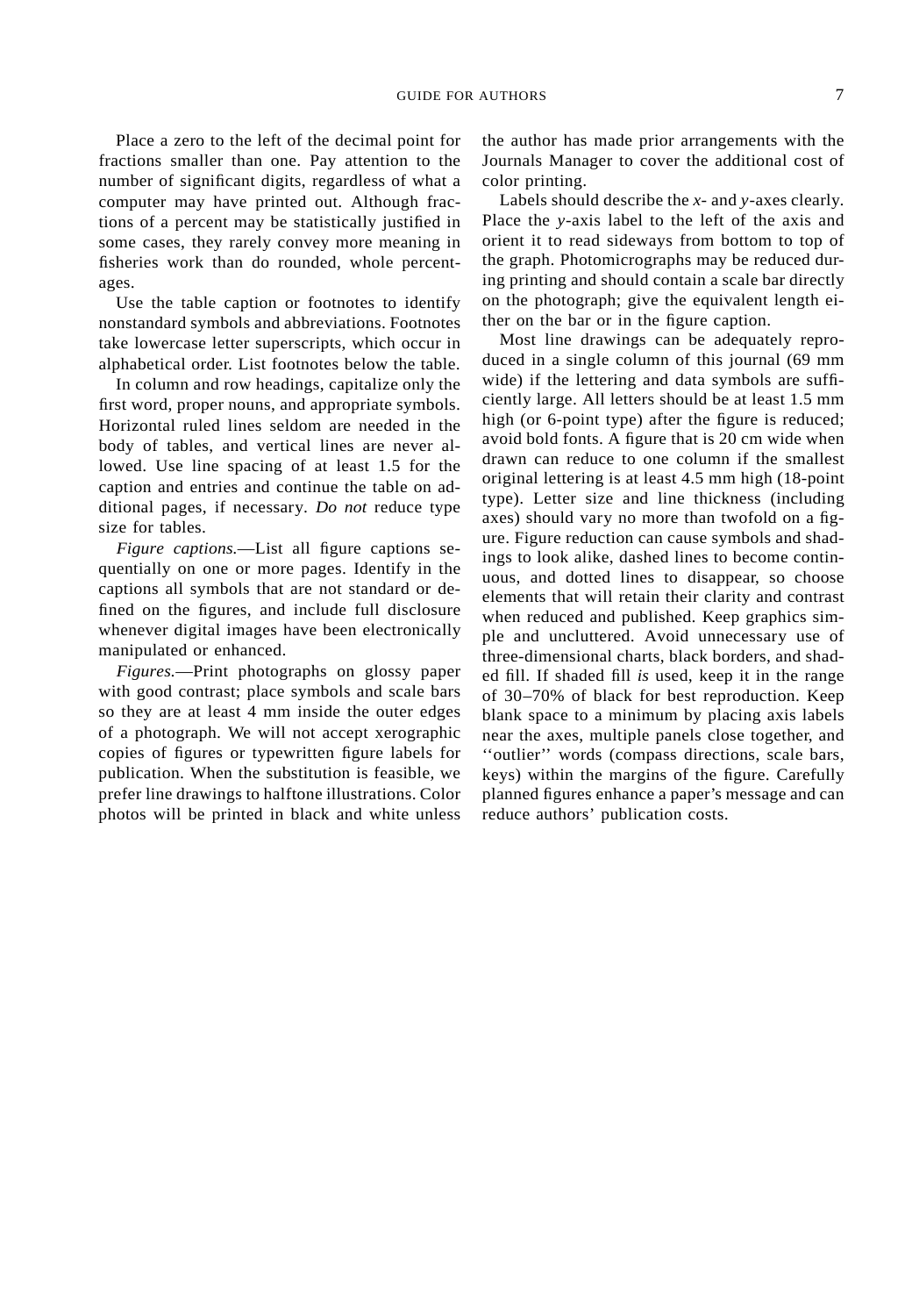## GUIDE FOR AUTHORS 7

Place a zero to the left of the decimal point for fractions smaller than one. Pay attention to the number of significant digits, regardless of what a computer may have printed out. Although fractions of a percent may be statistically justified in some cases, they rarely convey more meaning in fisheries work than do rounded, whole percentages.

Use the table caption or footnotes to identify nonstandard symbols and abbreviations. Footnotes take lowercase letter superscripts, which occur in alphabetical order. List footnotes below the table.

In column and row headings, capitalize only the first word, proper nouns, and appropriate symbols. Horizontal ruled lines seldom are needed in the body of tables, and vertical lines are never allowed. Use line spacing of at least 1.5 for the caption and entries and continue the table on additional pages, if necessary. *Do not* reduce type size for tables.

*Figure captions.*—List all figure captions sequentially on one or more pages. Identify in the captions all symbols that are not standard or defined on the figures, and include full disclosure whenever digital images have been electronically manipulated or enhanced.

*Figures.*—Print photographs on glossy paper with good contrast; place symbols and scale bars so they are at least 4 mm inside the outer edges of a photograph. We will not accept xerographic copies of figures or typewritten figure labels for publication. When the substitution is feasible, we prefer line drawings to halftone illustrations. Color photos will be printed in black and white unless

the author has made prior arrangements with the Journals Manager to cover the additional cost of color printing.

Labels should describe the *x*- and *y*-axes clearly. Place the *y*-axis label to the left of the axis and orient it to read sideways from bottom to top of the graph. Photomicrographs may be reduced during printing and should contain a scale bar directly on the photograph; give the equivalent length either on the bar or in the figure caption.

Most line drawings can be adequately reproduced in a single column of this journal (69 mm wide) if the lettering and data symbols are sufficiently large. All letters should be at least 1.5 mm high (or 6-point type) after the figure is reduced; avoid bold fonts. A figure that is 20 cm wide when drawn can reduce to one column if the smallest original lettering is at least 4.5 mm high (18-point type). Letter size and line thickness (including axes) should vary no more than twofold on a figure. Figure reduction can cause symbols and shadings to look alike, dashed lines to become continuous, and dotted lines to disappear, so choose elements that will retain their clarity and contrast when reduced and published. Keep graphics simple and uncluttered. Avoid unnecessary use of three-dimensional charts, black borders, and shaded fill. If shaded fill *is* used, keep it in the range of 30–70% of black for best reproduction. Keep blank space to a minimum by placing axis labels near the axes, multiple panels close together, and ''outlier'' words (compass directions, scale bars, keys) within the margins of the figure. Carefully planned figures enhance a paper's message and can reduce authors' publication costs.